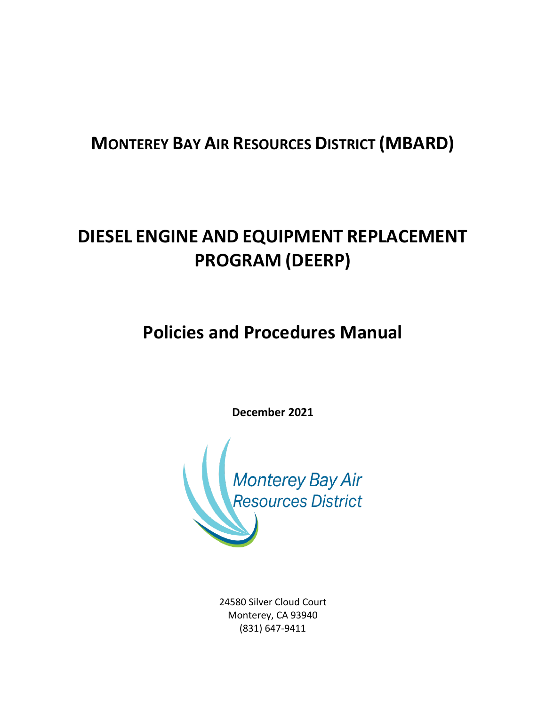# **MONTEREY BAY AIR RESOURCES DISTRICT (MBARD)**

# **DIESEL ENGINE AND EQUIPMENT REPLACEMENT PROGRAM (DEERP)**

**Policies and Procedures Manual**

**December 2021**



24580 Silver Cloud Court Monterey, CA 93940 (831) 647-9411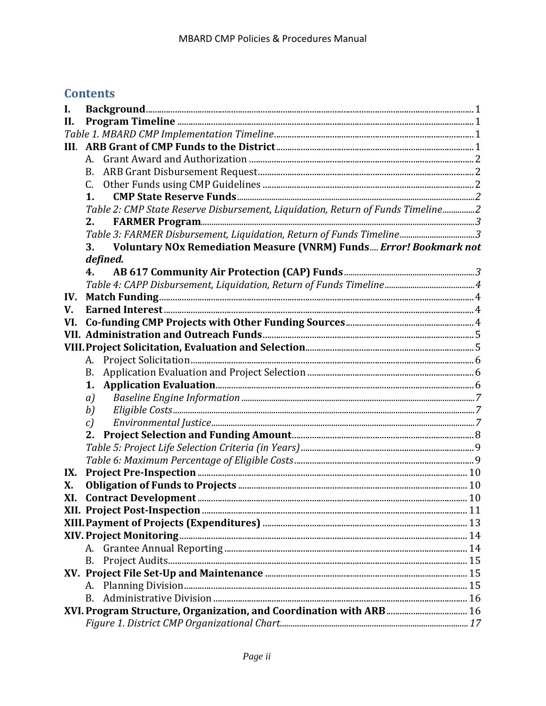# **Contents**

| I.   |                                                                                 |  |  |  |  |
|------|---------------------------------------------------------------------------------|--|--|--|--|
| II.  |                                                                                 |  |  |  |  |
|      |                                                                                 |  |  |  |  |
| III. |                                                                                 |  |  |  |  |
|      | A.                                                                              |  |  |  |  |
|      | В.                                                                              |  |  |  |  |
|      | C.                                                                              |  |  |  |  |
|      | 1.                                                                              |  |  |  |  |
|      | Table 2: CMP State Reserve Disbursement, Liquidation, Return of Funds Timeline2 |  |  |  |  |
|      | 2.                                                                              |  |  |  |  |
|      | Table 3: FARMER Disbursement, Liquidation, Return of Funds Timeline3            |  |  |  |  |
|      | <b>Voluntary NOx Remediation Measure (VNRM) Funds Error! Bookmark not</b><br>3. |  |  |  |  |
|      | defined.                                                                        |  |  |  |  |
|      | 4.                                                                              |  |  |  |  |
|      |                                                                                 |  |  |  |  |
| IV.  |                                                                                 |  |  |  |  |
| V.   |                                                                                 |  |  |  |  |
| VI.  |                                                                                 |  |  |  |  |
|      |                                                                                 |  |  |  |  |
|      |                                                                                 |  |  |  |  |
|      | A.                                                                              |  |  |  |  |
|      | <b>B.</b>                                                                       |  |  |  |  |
|      | 1.                                                                              |  |  |  |  |
|      | a)                                                                              |  |  |  |  |
|      | b)                                                                              |  |  |  |  |
|      | c)                                                                              |  |  |  |  |
|      | 2.                                                                              |  |  |  |  |
|      |                                                                                 |  |  |  |  |
|      |                                                                                 |  |  |  |  |
| IX.  |                                                                                 |  |  |  |  |
| X.   |                                                                                 |  |  |  |  |
| XI.  |                                                                                 |  |  |  |  |
|      |                                                                                 |  |  |  |  |
|      |                                                                                 |  |  |  |  |
|      |                                                                                 |  |  |  |  |
|      |                                                                                 |  |  |  |  |
|      |                                                                                 |  |  |  |  |
|      |                                                                                 |  |  |  |  |
|      | А.<br><b>B.</b>                                                                 |  |  |  |  |
|      |                                                                                 |  |  |  |  |
|      |                                                                                 |  |  |  |  |
|      |                                                                                 |  |  |  |  |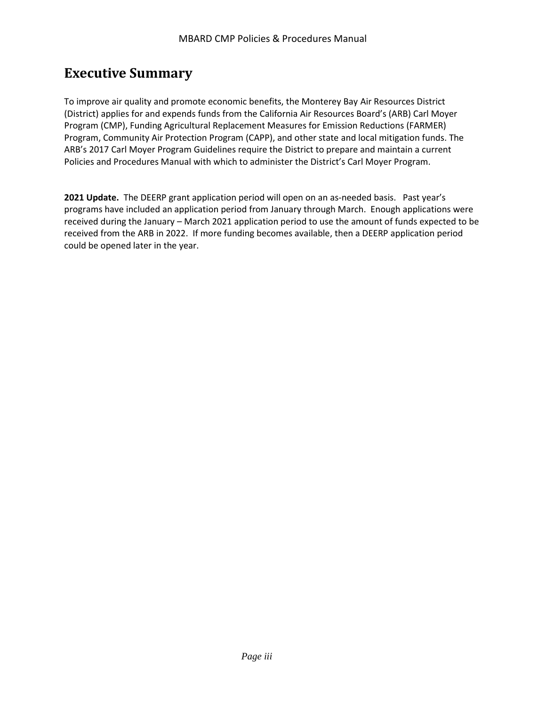# **Executive Summary**

To improve air quality and promote economic benefits, the Monterey Bay Air Resources District (District) applies for and expends funds from the California Air Resources Board's (ARB) Carl Moyer Program (CMP), Funding Agricultural Replacement Measures for Emission Reductions (FARMER) Program, Community Air Protection Program (CAPP), and other state and local mitigation funds. The ARB's 2017 Carl Moyer Program Guidelines require the District to prepare and maintain a current Policies and Procedures Manual with which to administer the District's Carl Moyer Program.

**2021 Update.** The DEERP grant application period will open on an as-needed basis. Past year's programs have included an application period from January through March. Enough applications were received during the January – March 2021 application period to use the amount of funds expected to be received from the ARB in 2022. If more funding becomes available, then a DEERP application period could be opened later in the year.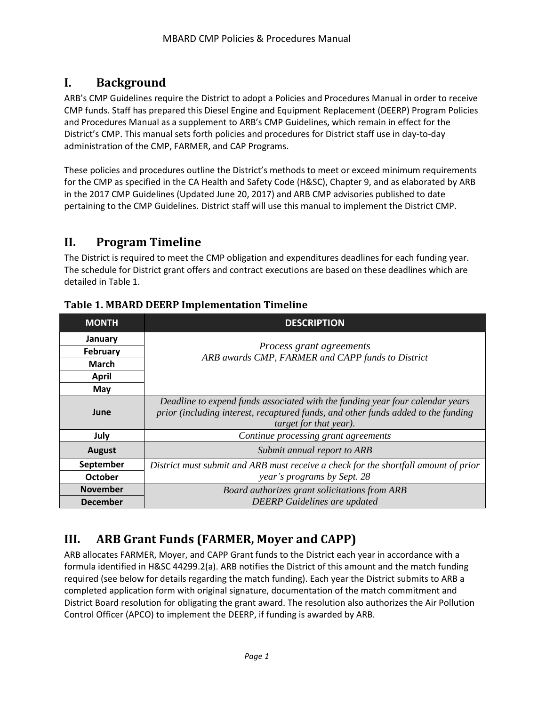# <span id="page-3-0"></span>**I. Background**

ARB's CMP Guidelines require the District to adopt a Policies and Procedures Manual in order to receive CMP funds. Staff has prepared this Diesel Engine and Equipment Replacement (DEERP) Program Policies and Procedures Manual as a supplement to ARB's CMP Guidelines, which remain in effect for the District's CMP. This manual sets forth policies and procedures for District staff use in day-to-day administration of the CMP, FARMER, and CAP Programs.

These policies and procedures outline the District's methods to meet or exceed minimum requirements for the CMP as specified in the CA Health and Safety Code (H&SC), Chapter 9, and as elaborated by ARB in the 2017 CMP Guidelines (Updated June 20, 2017) and ARB CMP advisories published to date pertaining to the CMP Guidelines. District staff will use this manual to implement the District CMP.

### <span id="page-3-1"></span>**II. Program Timeline**

The District is required to meet the CMP obligation and expenditures deadlines for each funding year. The schedule for District grant offers and contract executions are based on these deadlines which are detailed in Table 1.

| <b>MONTH</b>    | <b>DESCRIPTION</b>                                                                                                                                                                           |
|-----------------|----------------------------------------------------------------------------------------------------------------------------------------------------------------------------------------------|
| January         |                                                                                                                                                                                              |
| February        | Process grant agreements<br>ARB awards CMP, FARMER and CAPP funds to District                                                                                                                |
| <b>March</b>    |                                                                                                                                                                                              |
| <b>April</b>    |                                                                                                                                                                                              |
| May             |                                                                                                                                                                                              |
| June            | Deadline to expend funds associated with the funding year four calendar years<br>prior (including interest, recaptured funds, and other funds added to the funding<br>target for that year). |
| July            | Continue processing grant agreements                                                                                                                                                         |
| <b>August</b>   | Submit annual report to ARB                                                                                                                                                                  |
| September       | District must submit and ARB must receive a check for the shortfall amount of prior                                                                                                          |
| <b>October</b>  | year's programs by Sept. 28                                                                                                                                                                  |
| <b>November</b> | Board authorizes grant solicitations from ARB                                                                                                                                                |
| <b>December</b> | <b>DEERP</b> Guidelines are updated                                                                                                                                                          |

#### <span id="page-3-2"></span>**Table 1. MBARD DEERP Implementation Timeline**

# <span id="page-3-3"></span>**III. ARB Grant Funds (FARMER, Moyer and CAPP)**

ARB allocates FARMER, Moyer, and CAPP Grant funds to the District each year in accordance with a formula identified in H&SC 44299.2(a). ARB notifies the District of this amount and the match funding required (see below for details regarding the match funding). Each year the District submits to ARB a completed application form with original signature, documentation of the match commitment and District Board resolution for obligating the grant award. The resolution also authorizes the Air Pollution Control Officer (APCO) to implement the DEERP, if funding is awarded by ARB.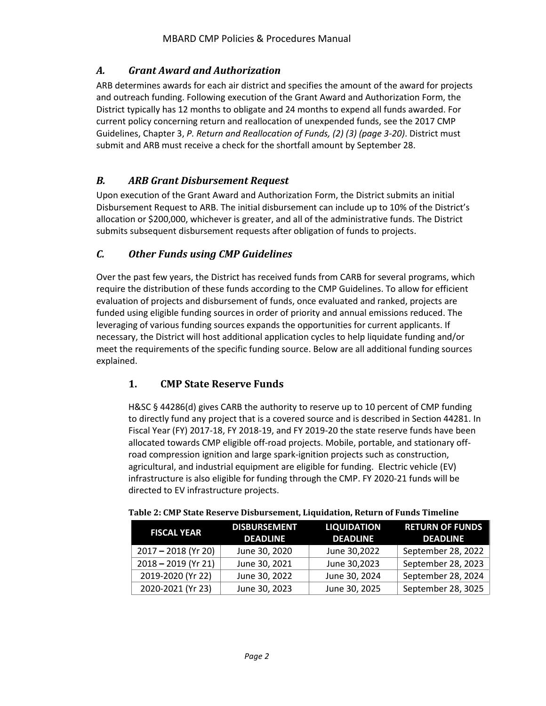#### <span id="page-4-0"></span>*A. Grant Award and Authorization*

ARB determines awards for each air district and specifies the amount of the award for projects and outreach funding. Following execution of the Grant Award and Authorization Form, the District typically has 12 months to obligate and 24 months to expend all funds awarded. For current policy concerning return and reallocation of unexpended funds, see the 2017 CMP Guidelines, Chapter 3, *P. Return and Reallocation of Funds, (2) (3) (page 3-20)*. District must submit and ARB must receive a check for the shortfall amount by September 28.

#### <span id="page-4-1"></span>*B. ARB Grant Disbursement Request*

Upon execution of the Grant Award and Authorization Form, the District submits an initial Disbursement Request to ARB. The initial disbursement can include up to 10% of the District's allocation or \$200,000, whichever is greater, and all of the administrative funds. The District submits subsequent disbursement requests after obligation of funds to projects.

#### <span id="page-4-2"></span>*C. Other Funds using CMP Guidelines*

Over the past few years, the District has received funds from CARB for several programs, which require the distribution of these funds according to the CMP Guidelines. To allow for efficient evaluation of projects and disbursement of funds, once evaluated and ranked, projects are funded using eligible funding sources in order of priority and annual emissions reduced. The leveraging of various funding sources expands the opportunities for current applicants. If necessary, the District will host additional application cycles to help liquidate funding and/or meet the requirements of the specific funding source. Below are all additional funding sources explained.

#### <span id="page-4-3"></span>**1. CMP State Reserve Funds**

H&SC § 44286(d) gives CARB the authority to reserve up to 10 percent of CMP funding to directly fund any project that is a covered source and is described in Section 44281. In Fiscal Year (FY) 2017-18, FY 2018-19, and FY 2019-20 the state reserve funds have been allocated towards CMP eligible off-road projects. Mobile, portable, and stationary offroad compression ignition and large spark-ignition projects such as construction, agricultural, and industrial equipment are eligible for funding. Electric vehicle (EV) infrastructure is also eligible for funding through the CMP. FY 2020-21 funds will be directed to EV infrastructure projects.

| <b>FISCAL YEAR</b>    | <b>DISBURSEMENT</b><br><b>DEADLINE</b> | <b>LIQUIDATION</b><br><b>DEADLINE</b> | <b>RETURN OF FUNDS</b><br><b>DEADLINE</b> |
|-----------------------|----------------------------------------|---------------------------------------|-------------------------------------------|
| $2017 - 2018$ (Yr 20) | June 30, 2020                          | June 30,2022                          | September 28, 2022                        |
| $2018 - 2019$ (Yr 21) | June 30, 2021                          | June 30,2023                          | September 28, 2023                        |
| 2019-2020 (Yr 22)     | June 30, 2022                          | June 30, 2024                         | September 28, 2024                        |
| 2020-2021 (Yr 23)     | June 30, 2023                          | June 30, 2025                         | September 28, 3025                        |

#### <span id="page-4-4"></span>**Table 2: CMP State Reserve Disbursement, Liquidation, Return of Funds Timeline**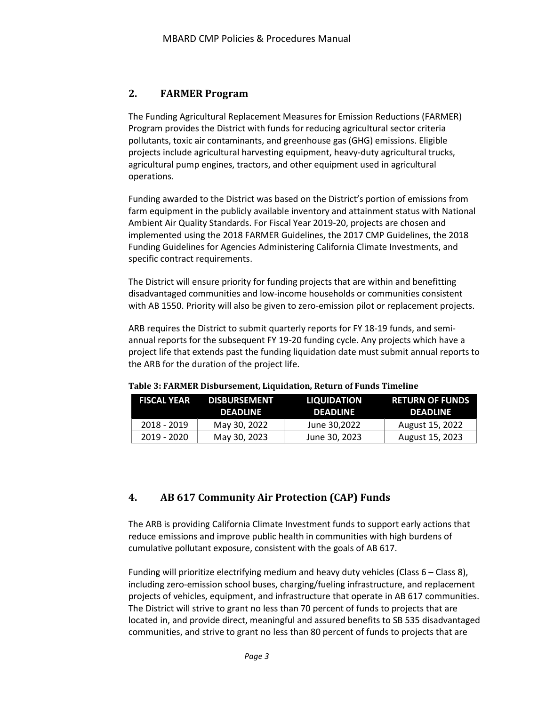#### <span id="page-5-0"></span>**2. FARMER Program**

The Funding Agricultural Replacement Measures for Emission Reductions (FARMER) Program provides the District with funds for reducing agricultural sector criteria pollutants, toxic air contaminants, and greenhouse gas (GHG) emissions. Eligible projects include agricultural harvesting equipment, heavy-duty agricultural trucks, agricultural pump engines, tractors, and other equipment used in agricultural operations.

Funding awarded to the District was based on the District's portion of emissions from farm equipment in the publicly available inventory and attainment status with National Ambient Air Quality Standards. For Fiscal Year 2019-20, projects are chosen and implemented using the 2018 FARMER Guidelines, the 2017 CMP Guidelines, the 2018 Funding Guidelines for Agencies Administering California Climate Investments, and specific contract requirements.

The District will ensure priority for funding projects that are within and benefitting disadvantaged communities and low-income households or communities consistent with AB 1550. Priority will also be given to zero-emission pilot or replacement projects.

ARB requires the District to submit quarterly reports for FY 18-19 funds, and semiannual reports for the subsequent FY 19-20 funding cycle. Any projects which have a project life that extends past the funding liquidation date must submit annual reports to the ARB for the duration of the project life.

| <b>FISCAL YEAR</b> | <b>DISBURSEMENT</b><br><b>DEADLINE</b> | <b>LIQUIDATION</b><br><b>DEADLINE</b> | <b>RETURN OF FUNDS</b><br><b>DEADLINE</b> |
|--------------------|----------------------------------------|---------------------------------------|-------------------------------------------|
| 2018 - 2019        | May 30, 2022                           | June 30.2022                          | August 15, 2022                           |
| 2019 - 2020        | May 30, 2023                           | June 30, 2023                         | August 15, 2023                           |

<span id="page-5-1"></span>**Table 3: FARMER Disbursement, Liquidation, Return of Funds Timeline**

#### <span id="page-5-2"></span>**4. AB 617 Community Air Protection (CAP) Funds**

The ARB is providing California Climate Investment funds to support early actions that reduce emissions and improve public health in communities with high burdens of cumulative pollutant exposure, consistent with the goals of AB 617.

Funding will prioritize electrifying medium and heavy duty vehicles (Class 6 – Class 8), including zero-emission school buses, charging/fueling infrastructure, and replacement projects of vehicles, equipment, and infrastructure that operate in AB 617 communities. The District will strive to grant no less than 70 percent of funds to projects that are located in, and provide direct, meaningful and assured benefits to SB 535 disadvantaged communities, and strive to grant no less than 80 percent of funds to projects that are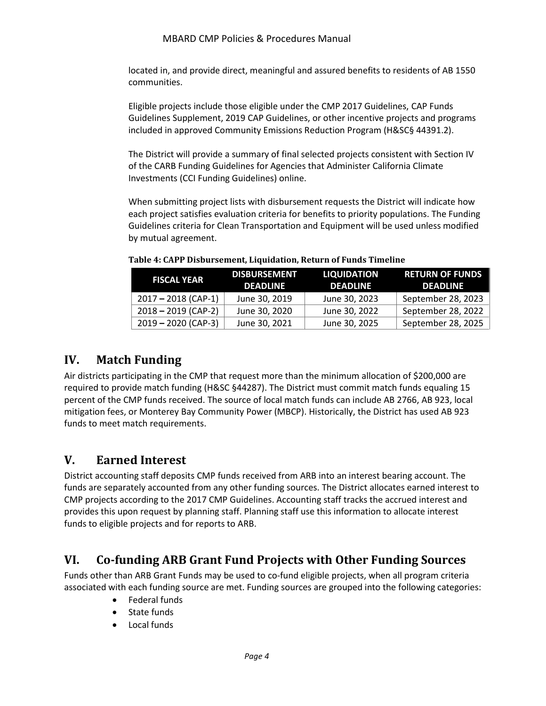#### MBARD CMP Policies & Procedures Manual

located in, and provide direct, meaningful and assured benefits to residents of AB 1550 communities.

Eligible projects include those eligible under the CMP 2017 Guidelines, CAP Funds Guidelines Supplement, 2019 CAP Guidelines, or other incentive projects and programs included in approved Community Emissions Reduction Program (H&SC§ 44391.2).

The District will provide a summary of final selected projects consistent with Section IV of the CARB Funding Guidelines for Agencies that Administer California Climate Investments (CCI Funding Guidelines) online.

When submitting project lists with disbursement requests the District will indicate how each project satisfies evaluation criteria for benefits to priority populations. The Funding Guidelines criteria for Clean Transportation and Equipment will be used unless modified by mutual agreement.

| <b>FISCAL YEAR</b>    | <b>DISBURSEMENT</b><br><b>DEADLINE</b> | <b>LIQUIDATION</b><br><b>DEADLINE</b> | <b>RETURN OF FUNDS</b><br><b>DEADLINE</b> |
|-----------------------|----------------------------------------|---------------------------------------|-------------------------------------------|
| $2017 - 2018$ (CAP-1) | June 30, 2019                          | June 30, 2023                         | September 28, 2023                        |
| $2018 - 2019$ (CAP-2) | June 30, 2020                          | June 30, 2022                         | September 28, 2022                        |
| $2019 - 2020$ (CAP-3) | June 30, 2021                          | June 30, 2025                         | September 28, 2025                        |

<span id="page-6-0"></span>**Table 4: CAPP Disbursement, Liquidation, Return of Funds Timeline**

# <span id="page-6-1"></span>**IV. Match Funding**

Air districts participating in the CMP that request more than the minimum allocation of \$200,000 are required to provide match funding (H&SC §44287). The District must commit match funds equaling 15 percent of the CMP funds received. The source of local match funds can include AB 2766, AB 923, local mitigation fees, or Monterey Bay Community Power (MBCP). Historically, the District has used AB 923 funds to meet match requirements.

# <span id="page-6-2"></span>**V. Earned Interest**

District accounting staff deposits CMP funds received from ARB into an interest bearing account. The funds are separately accounted from any other funding sources. The District allocates earned interest to CMP projects according to the 2017 CMP Guidelines. Accounting staff tracks the accrued interest and provides this upon request by planning staff. Planning staff use this information to allocate interest funds to eligible projects and for reports to ARB.

# <span id="page-6-3"></span>**VI. Co-funding ARB Grant Fund Projects with Other Funding Sources**

Funds other than ARB Grant Funds may be used to co-fund eligible projects, when all program criteria associated with each funding source are met. Funding sources are grouped into the following categories:

- Federal funds
- State funds
- Local funds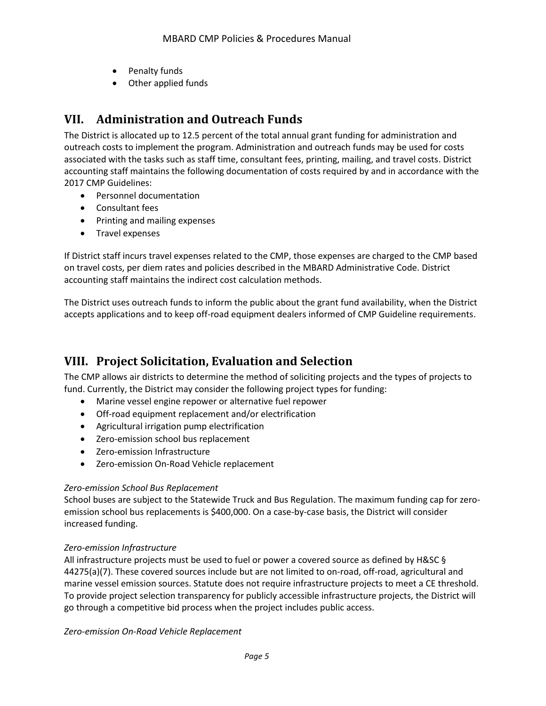- Penalty funds
- Other applied funds

# <span id="page-7-0"></span>**VII. Administration and Outreach Funds**

The District is allocated up to 12.5 percent of the total annual grant funding for administration and outreach costs to implement the program. Administration and outreach funds may be used for costs associated with the tasks such as staff time, consultant fees, printing, mailing, and travel costs. District accounting staff maintains the following documentation of costs required by and in accordance with the 2017 CMP Guidelines:

- Personnel documentation
- Consultant fees
- Printing and mailing expenses
- Travel expenses

If District staff incurs travel expenses related to the CMP, those expenses are charged to the CMP based on travel costs, per diem rates and policies described in the MBARD Administrative Code. District accounting staff maintains the indirect cost calculation methods.

The District uses outreach funds to inform the public about the grant fund availability, when the District accepts applications and to keep off-road equipment dealers informed of CMP Guideline requirements.

# <span id="page-7-1"></span>**VIII. Project Solicitation, Evaluation and Selection**

The CMP allows air districts to determine the method of soliciting projects and the types of projects to fund. Currently, the District may consider the following project types for funding:

- Marine vessel engine repower or alternative fuel repower
- Off-road equipment replacement and/or electrification
- Agricultural irrigation pump electrification
- Zero-emission school bus replacement
- Zero-emission Infrastructure
- Zero-emission On-Road Vehicle replacement

#### *Zero-emission School Bus Replacement*

School buses are subject to the Statewide Truck and Bus Regulation. The maximum funding cap for zeroemission school bus replacements is \$400,000. On a case-by-case basis, the District will consider increased funding.

#### *Zero-emission Infrastructure*

All infrastructure projects must be used to fuel or power a covered source as defined by H&SC § 44275(a)(7). These covered sources include but are not limited to on-road, off-road, agricultural and marine vessel emission sources. Statute does not require infrastructure projects to meet a CE threshold. To provide project selection transparency for publicly accessible infrastructure projects, the District will go through a competitive bid process when the project includes public access.

*Zero-emission On-Road Vehicle Replacement*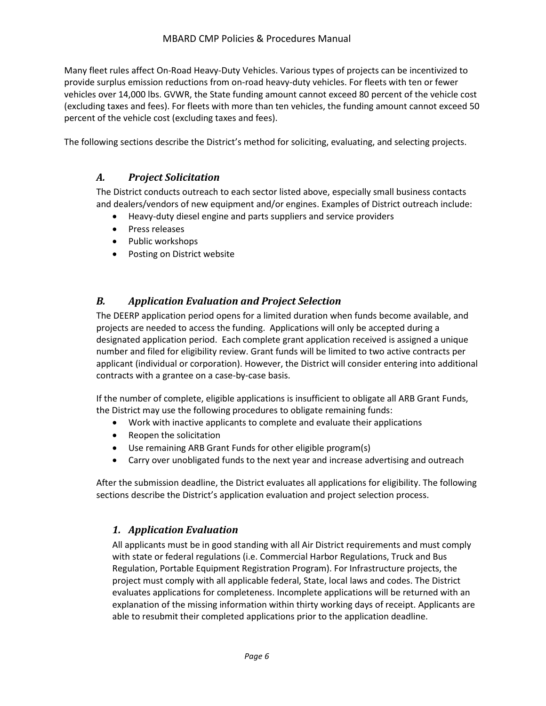Many fleet rules affect On-Road Heavy-Duty Vehicles. Various types of projects can be incentivized to provide surplus emission reductions from on-road heavy-duty vehicles. For fleets with ten or fewer vehicles over 14,000 lbs. GVWR, the State funding amount cannot exceed 80 percent of the vehicle cost (excluding taxes and fees). For fleets with more than ten vehicles, the funding amount cannot exceed 50 percent of the vehicle cost (excluding taxes and fees).

<span id="page-8-0"></span>The following sections describe the District's method for soliciting, evaluating, and selecting projects.

#### *A. Project Solicitation*

The District conducts outreach to each sector listed above, especially small business contacts and dealers/vendors of new equipment and/or engines. Examples of District outreach include:

- Heavy-duty diesel engine and parts suppliers and service providers
- Press releases
- Public workshops
- Posting on District website

#### <span id="page-8-1"></span>*B. Application Evaluation and Project Selection*

The DEERP application period opens for a limited duration when funds become available, and projects are needed to access the funding. Applications will only be accepted during a designated application period. Each complete grant application received is assigned a unique number and filed for eligibility review. Grant funds will be limited to two active contracts per applicant (individual or corporation). However, the District will consider entering into additional contracts with a grantee on a case-by-case basis.

If the number of complete, eligible applications is insufficient to obligate all ARB Grant Funds, the District may use the following procedures to obligate remaining funds:

- Work with inactive applicants to complete and evaluate their applications
- Reopen the solicitation
- Use remaining ARB Grant Funds for other eligible program(s)
- Carry over unobligated funds to the next year and increase advertising and outreach

<span id="page-8-2"></span>After the submission deadline, the District evaluates all applications for eligibility. The following sections describe the District's application evaluation and project selection process.

#### *1. Application Evaluation*

All applicants must be in good standing with all Air District requirements and must comply with state or federal regulations (i.e. Commercial Harbor Regulations, Truck and Bus Regulation, Portable Equipment Registration Program). For Infrastructure projects, the project must comply with all applicable federal, State, local laws and codes. The District evaluates applications for completeness. Incomplete applications will be returned with an explanation of the missing information within thirty working days of receipt. Applicants are able to resubmit their completed applications prior to the application deadline.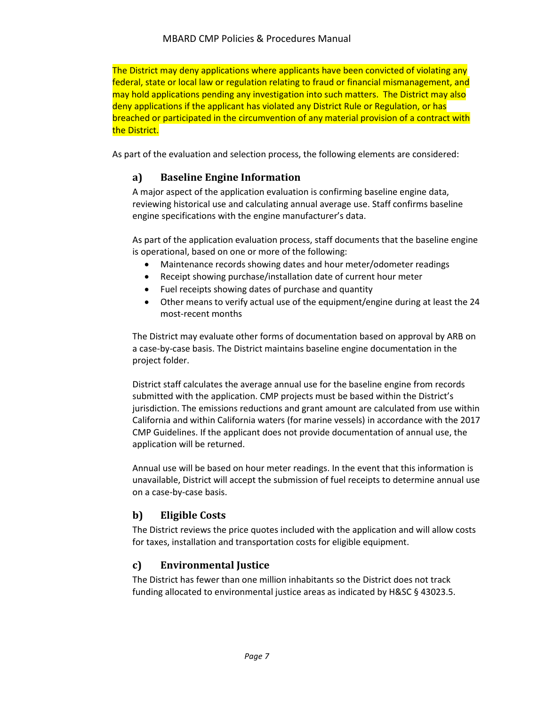The District may deny applications where applicants have been convicted of violating any federal, state or local law or regulation relating to fraud or financial mismanagement, and may hold applications pending any investigation into such matters. The District may also deny applications if the applicant has violated any District Rule or Regulation, or has breached or participated in the circumvention of any material provision of a contract with the District.

<span id="page-9-0"></span>As part of the evaluation and selection process, the following elements are considered:

#### **a) Baseline Engine Information**

A major aspect of the application evaluation is confirming baseline engine data, reviewing historical use and calculating annual average use. Staff confirms baseline engine specifications with the engine manufacturer's data.

As part of the application evaluation process, staff documents that the baseline engine is operational, based on one or more of the following:

- Maintenance records showing dates and hour meter/odometer readings
- Receipt showing purchase/installation date of current hour meter
- Fuel receipts showing dates of purchase and quantity
- Other means to verify actual use of the equipment/engine during at least the 24 most-recent months

The District may evaluate other forms of documentation based on approval by ARB on a case-by-case basis. The District maintains baseline engine documentation in the project folder.

District staff calculates the average annual use for the baseline engine from records submitted with the application. CMP projects must be based within the District's jurisdiction. The emissions reductions and grant amount are calculated from use within California and within California waters (for marine vessels) in accordance with the 2017 CMP Guidelines. If the applicant does not provide documentation of annual use, the application will be returned.

Annual use will be based on hour meter readings. In the event that this information is unavailable, District will accept the submission of fuel receipts to determine annual use on a case-by-case basis.

#### <span id="page-9-1"></span>**b) Eligible Costs**

The District reviews the price quotes included with the application and will allow costs for taxes, installation and transportation costs for eligible equipment.

#### <span id="page-9-2"></span>**c) Environmental Justice**

The District has fewer than one million inhabitants so the District does not track funding allocated to environmental justice areas as indicated by H&SC § 43023.5.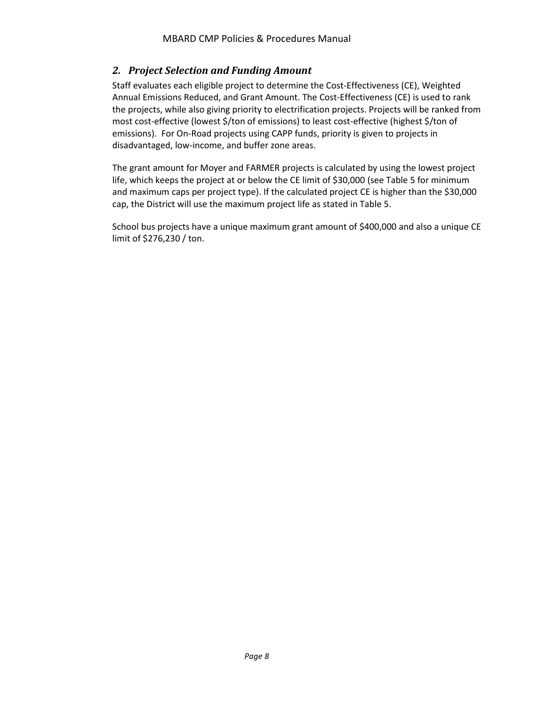#### <span id="page-10-0"></span>*2. Project Selection and Funding Amount*

Staff evaluates each eligible project to determine the Cost-Effectiveness (CE), Weighted Annual Emissions Reduced, and Grant Amount. The Cost-Effectiveness (CE) is used to rank the projects, while also giving priority to electrification projects. Projects will be ranked from most cost-effective (lowest \$/ton of emissions) to least cost-effective (highest \$/ton of emissions). For On-Road projects using CAPP funds, priority is given to projects in disadvantaged, low-income, and buffer zone areas.

The grant amount for Moyer and FARMER projects is calculated by using the lowest project life, which keeps the project at or below the CE limit of \$30,000 (see Table 5 for minimum and maximum caps per project type). If the calculated project CE is higher than the \$30,000 cap, the District will use the maximum project life as stated in Table 5.

School bus projects have a unique maximum grant amount of \$400,000 and also a unique CE limit of \$276,230 / ton.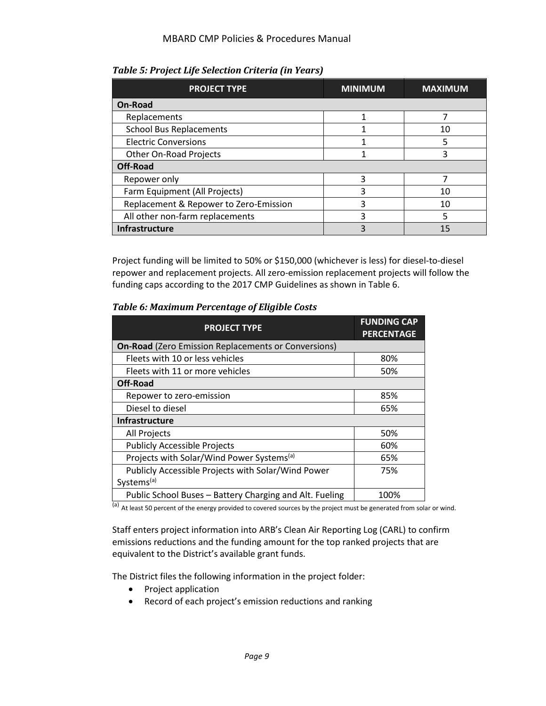<span id="page-11-0"></span>*Table 5: Project Life Selection Criteria (in Years)*

| <b>PROJECT TYPE</b>                    | <b>MINIMUM</b> | <b>MAXIMUM</b> |  |
|----------------------------------------|----------------|----------------|--|
| On-Road                                |                |                |  |
| Replacements                           |                |                |  |
| <b>School Bus Replacements</b>         |                | 10             |  |
| <b>Electric Conversions</b>            |                | 5              |  |
| Other On-Road Projects                 |                | 3              |  |
| <b>Off-Road</b>                        |                |                |  |
| Repower only                           | 3              |                |  |
| Farm Equipment (All Projects)          | 3              | 10             |  |
| Replacement & Repower to Zero-Emission | 3              | 10             |  |
| All other non-farm replacements        | 3              | 5              |  |
| <b>Infrastructure</b>                  | 3              | 15             |  |

Project funding will be limited to 50% or \$150,000 (whichever is less) for diesel-to-diesel repower and replacement projects. All zero-emission replacement projects will follow the funding caps according to the 2017 CMP Guidelines as shown in Table 6.

<span id="page-11-1"></span>

| <b>PROJECT TYPE</b>                                        | <b>FUNDING CAP</b><br><b>PERCENTAGE</b> |  |
|------------------------------------------------------------|-----------------------------------------|--|
| <b>On-Road</b> (Zero Emission Replacements or Conversions) |                                         |  |
| Fleets with 10 or less vehicles                            | 80%                                     |  |
| Fleets with 11 or more vehicles                            | 50%                                     |  |
| Off-Road                                                   |                                         |  |
| Repower to zero-emission                                   | 85%                                     |  |
| Diesel to diesel                                           | 65%                                     |  |
| <b>Infrastructure</b>                                      |                                         |  |
| All Projects                                               | 50%                                     |  |
| <b>Publicly Accessible Projects</b>                        | 60%                                     |  |
| Projects with Solar/Wind Power Systems <sup>(a)</sup>      | 65%                                     |  |
| Publicly Accessible Projects with Solar/Wind Power         | 75%                                     |  |
| Systems <sup>(a)</sup>                                     |                                         |  |
| Public School Buses - Battery Charging and Alt. Fueling    | 100%                                    |  |

(a) At least 50 percent of the energy provided to covered sources by the project must be generated from solar or wind.

Staff enters project information into ARB's Clean Air Reporting Log (CARL) to confirm emissions reductions and the funding amount for the top ranked projects that are equivalent to the District's available grant funds.

The District files the following information in the project folder:

- Project application
- Record of each project's emission reductions and ranking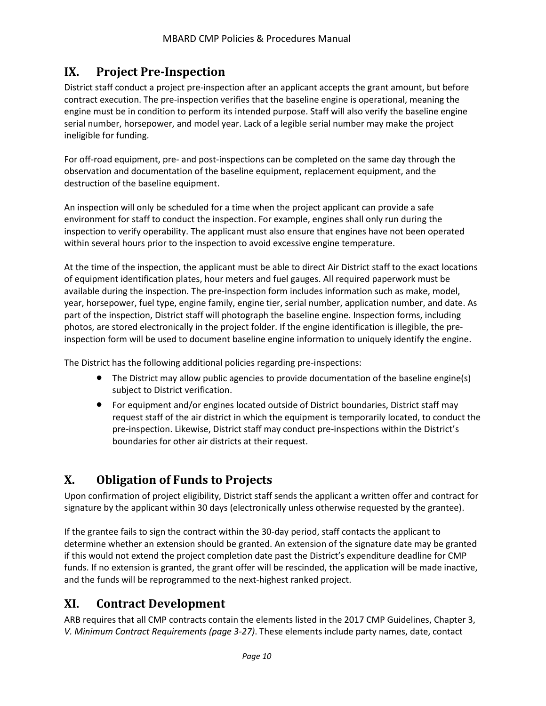# <span id="page-12-0"></span>**IX. Project Pre-Inspection**

District staff conduct a project pre-inspection after an applicant accepts the grant amount, but before contract execution. The pre-inspection verifies that the baseline engine is operational, meaning the engine must be in condition to perform its intended purpose. Staff will also verify the baseline engine serial number, horsepower, and model year. Lack of a legible serial number may make the project ineligible for funding.

For off-road equipment, pre- and post-inspections can be completed on the same day through the observation and documentation of the baseline equipment, replacement equipment, and the destruction of the baseline equipment.

An inspection will only be scheduled for a time when the project applicant can provide a safe environment for staff to conduct the inspection. For example, engines shall only run during the inspection to verify operability. The applicant must also ensure that engines have not been operated within several hours prior to the inspection to avoid excessive engine temperature.

At the time of the inspection, the applicant must be able to direct Air District staff to the exact locations of equipment identification plates, hour meters and fuel gauges. All required paperwork must be available during the inspection. The pre-inspection form includes information such as make, model, year, horsepower, fuel type, engine family, engine tier, serial number, application number, and date. As part of the inspection, District staff will photograph the baseline engine. Inspection forms, including photos, are stored electronically in the project folder. If the engine identification is illegible, the preinspection form will be used to document baseline engine information to uniquely identify the engine.

The District has the following additional policies regarding pre-inspections:

- The District may allow public agencies to provide documentation of the baseline engine(s) subject to District verification.
- For equipment and/or engines located outside of District boundaries, District staff may request staff of the air district in which the equipment is temporarily located, to conduct the pre-inspection. Likewise, District staff may conduct pre-inspections within the District's boundaries for other air districts at their request.

# <span id="page-12-1"></span>**X. Obligation of Funds to Projects**

Upon confirmation of project eligibility, District staff sends the applicant a written offer and contract for signature by the applicant within 30 days (electronically unless otherwise requested by the grantee).

If the grantee fails to sign the contract within the 30-day period, staff contacts the applicant to determine whether an extension should be granted. An extension of the signature date may be granted if this would not extend the project completion date past the District's expenditure deadline for CMP funds. If no extension is granted, the grant offer will be rescinded, the application will be made inactive, and the funds will be reprogrammed to the next-highest ranked project.

### <span id="page-12-2"></span>**XI. Contract Development**

ARB requires that all CMP contracts contain the elements listed in the 2017 CMP Guidelines, Chapter 3, *V. Minimum Contract Requirements (page 3-27)*. These elements include party names, date, contact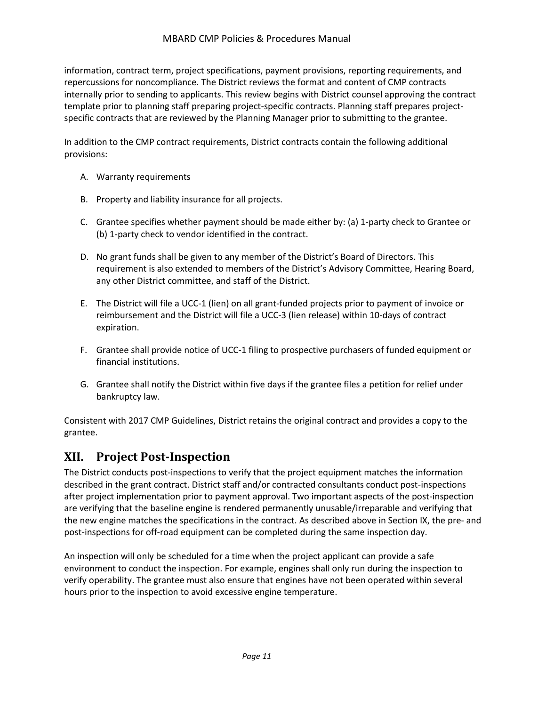#### MBARD CMP Policies & Procedures Manual

information, contract term, project specifications, payment provisions, reporting requirements, and repercussions for noncompliance. The District reviews the format and content of CMP contracts internally prior to sending to applicants. This review begins with District counsel approving the contract template prior to planning staff preparing project-specific contracts. Planning staff prepares projectspecific contracts that are reviewed by the Planning Manager prior to submitting to the grantee.

In addition to the CMP contract requirements, District contracts contain the following additional provisions:

- A. Warranty requirements
- B. Property and liability insurance for all projects.
- C. Grantee specifies whether payment should be made either by: (a) 1-party check to Grantee or (b) 1-party check to vendor identified in the contract.
- D. No grant funds shall be given to any member of the District's Board of Directors. This requirement is also extended to members of the District's Advisory Committee, Hearing Board, any other District committee, and staff of the District.
- E. The District will file a UCC-1 (lien) on all grant-funded projects prior to payment of invoice or reimbursement and the District will file a UCC-3 (lien release) within 10-days of contract expiration.
- F. Grantee shall provide notice of UCC-1 filing to prospective purchasers of funded equipment or financial institutions.
- G. Grantee shall notify the District within five days if the grantee files a petition for relief under bankruptcy law.

Consistent with 2017 CMP Guidelines, District retains the original contract and provides a copy to the grantee.

### <span id="page-13-0"></span>**XII. Project Post-Inspection**

The District conducts post-inspections to verify that the project equipment matches the information described in the grant contract. District staff and/or contracted consultants conduct post-inspections after project implementation prior to payment approval. Two important aspects of the post-inspection are verifying that the baseline engine is rendered permanently unusable/irreparable and verifying that the new engine matches the specifications in the contract. As described above in Section IX, the pre- and post-inspections for off-road equipment can be completed during the same inspection day.

An inspection will only be scheduled for a time when the project applicant can provide a safe environment to conduct the inspection. For example, engines shall only run during the inspection to verify operability. The grantee must also ensure that engines have not been operated within several hours prior to the inspection to avoid excessive engine temperature.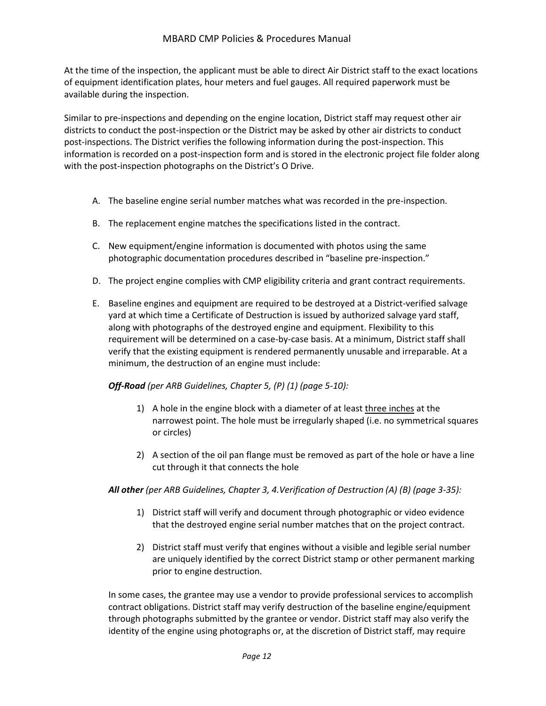At the time of the inspection, the applicant must be able to direct Air District staff to the exact locations of equipment identification plates, hour meters and fuel gauges. All required paperwork must be available during the inspection.

Similar to pre-inspections and depending on the engine location, District staff may request other air districts to conduct the post-inspection or the District may be asked by other air districts to conduct post-inspections. The District verifies the following information during the post-inspection. This information is recorded on a post-inspection form and is stored in the electronic project file folder along with the post-inspection photographs on the District's O Drive.

- A. The baseline engine serial number matches what was recorded in the pre-inspection.
- B. The replacement engine matches the specifications listed in the contract.
- C. New equipment/engine information is documented with photos using the same photographic documentation procedures described in "baseline pre-inspection."
- D. The project engine complies with CMP eligibility criteria and grant contract requirements.
- E. Baseline engines and equipment are required to be destroyed at a District-verified salvage yard at which time a Certificate of Destruction is issued by authorized salvage yard staff, along with photographs of the destroyed engine and equipment. Flexibility to this requirement will be determined on a case-by-case basis. At a minimum, District staff shall verify that the existing equipment is rendered permanently unusable and irreparable. At a minimum, the destruction of an engine must include:

*Off-Road (per ARB Guidelines, Chapter 5, (P) (1) (page 5-10):* 

- 1) A hole in the engine block with a diameter of at least three inches at the narrowest point. The hole must be irregularly shaped (i.e. no symmetrical squares or circles)
- 2) A section of the oil pan flange must be removed as part of the hole or have a line cut through it that connects the hole

#### *All other (per ARB Guidelines, Chapter 3, 4.Verification of Destruction (A) (B) (page 3-35):*

- 1) District staff will verify and document through photographic or video evidence that the destroyed engine serial number matches that on the project contract.
- 2) District staff must verify that engines without a visible and legible serial number are uniquely identified by the correct District stamp or other permanent marking prior to engine destruction.

In some cases, the grantee may use a vendor to provide professional services to accomplish contract obligations. District staff may verify destruction of the baseline engine/equipment through photographs submitted by the grantee or vendor. District staff may also verify the identity of the engine using photographs or, at the discretion of District staff, may require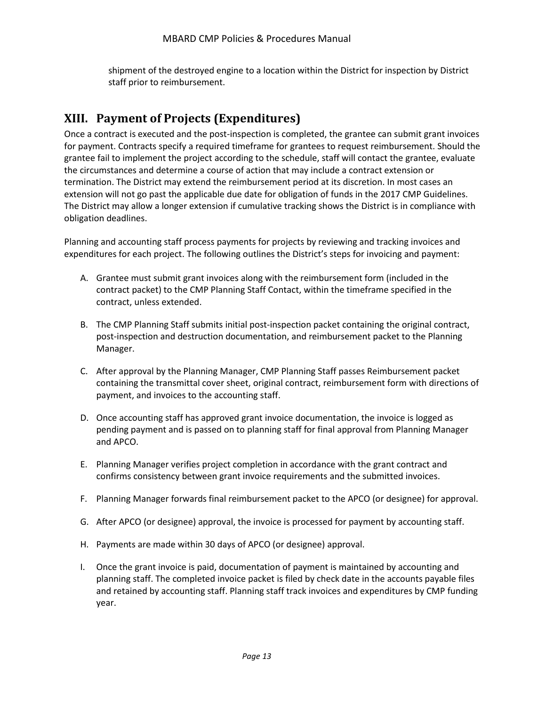shipment of the destroyed engine to a location within the District for inspection by District staff prior to reimbursement.

# <span id="page-15-0"></span>**XIII. Payment of Projects (Expenditures)**

Once a contract is executed and the post-inspection is completed, the grantee can submit grant invoices for payment. Contracts specify a required timeframe for grantees to request reimbursement. Should the grantee fail to implement the project according to the schedule, staff will contact the grantee, evaluate the circumstances and determine a course of action that may include a contract extension or termination. The District may extend the reimbursement period at its discretion. In most cases an extension will not go past the applicable due date for obligation of funds in the 2017 CMP Guidelines. The District may allow a longer extension if cumulative tracking shows the District is in compliance with obligation deadlines.

Planning and accounting staff process payments for projects by reviewing and tracking invoices and expenditures for each project. The following outlines the District's steps for invoicing and payment:

- A. Grantee must submit grant invoices along with the reimbursement form (included in the contract packet) to the CMP Planning Staff Contact, within the timeframe specified in the contract, unless extended.
- B. The CMP Planning Staff submits initial post-inspection packet containing the original contract, post-inspection and destruction documentation, and reimbursement packet to the Planning Manager.
- C. After approval by the Planning Manager, CMP Planning Staff passes Reimbursement packet containing the transmittal cover sheet, original contract, reimbursement form with directions of payment, and invoices to the accounting staff.
- D. Once accounting staff has approved grant invoice documentation, the invoice is logged as pending payment and is passed on to planning staff for final approval from Planning Manager and APCO.
- E. Planning Manager verifies project completion in accordance with the grant contract and confirms consistency between grant invoice requirements and the submitted invoices.
- F. Planning Manager forwards final reimbursement packet to the APCO (or designee) for approval.
- G. After APCO (or designee) approval, the invoice is processed for payment by accounting staff.
- H. Payments are made within 30 days of APCO (or designee) approval.
- I. Once the grant invoice is paid, documentation of payment is maintained by accounting and planning staff. The completed invoice packet is filed by check date in the accounts payable files and retained by accounting staff. Planning staff track invoices and expenditures by CMP funding year.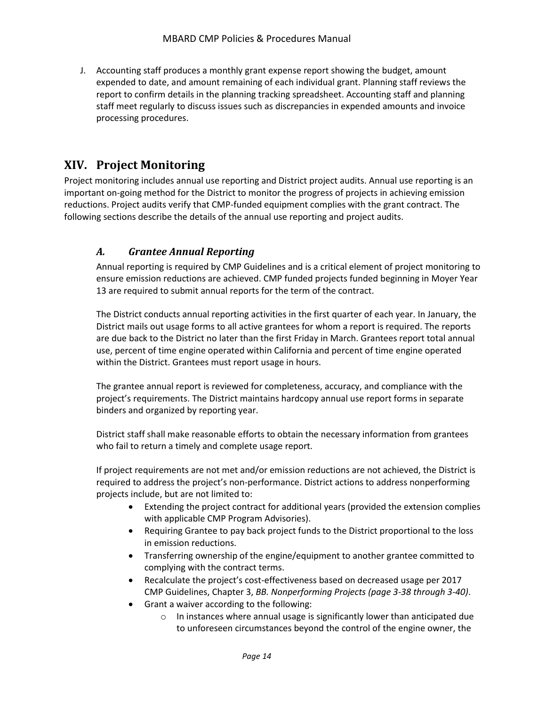J. Accounting staff produces a monthly grant expense report showing the budget, amount expended to date, and amount remaining of each individual grant. Planning staff reviews the report to confirm details in the planning tracking spreadsheet. Accounting staff and planning staff meet regularly to discuss issues such as discrepancies in expended amounts and invoice processing procedures.

# <span id="page-16-0"></span>**XIV. Project Monitoring**

Project monitoring includes annual use reporting and District project audits. Annual use reporting is an important on-going method for the District to monitor the progress of projects in achieving emission reductions. Project audits verify that CMP-funded equipment complies with the grant contract. The following sections describe the details of the annual use reporting and project audits.

#### <span id="page-16-1"></span>*A. Grantee Annual Reporting*

Annual reporting is required by CMP Guidelines and is a critical element of project monitoring to ensure emission reductions are achieved. CMP funded projects funded beginning in Moyer Year 13 are required to submit annual reports for the term of the contract.

The District conducts annual reporting activities in the first quarter of each year. In January, the District mails out usage forms to all active grantees for whom a report is required. The reports are due back to the District no later than the first Friday in March. Grantees report total annual use, percent of time engine operated within California and percent of time engine operated within the District. Grantees must report usage in hours.

The grantee annual report is reviewed for completeness, accuracy, and compliance with the project's requirements. The District maintains hardcopy annual use report forms in separate binders and organized by reporting year.

District staff shall make reasonable efforts to obtain the necessary information from grantees who fail to return a timely and complete usage report.

If project requirements are not met and/or emission reductions are not achieved, the District is required to address the project's non-performance. District actions to address nonperforming projects include, but are not limited to:

- Extending the project contract for additional years (provided the extension complies with applicable CMP Program Advisories).
- Requiring Grantee to pay back project funds to the District proportional to the loss in emission reductions.
- Transferring ownership of the engine/equipment to another grantee committed to complying with the contract terms.
- Recalculate the project's cost-effectiveness based on decreased usage per 2017 CMP Guidelines, Chapter 3, *BB. Nonperforming Projects (page 3-38 through 3-40)*.
- Grant a waiver according to the following:
	- o In instances where annual usage is significantly lower than anticipated due to unforeseen circumstances beyond the control of the engine owner, the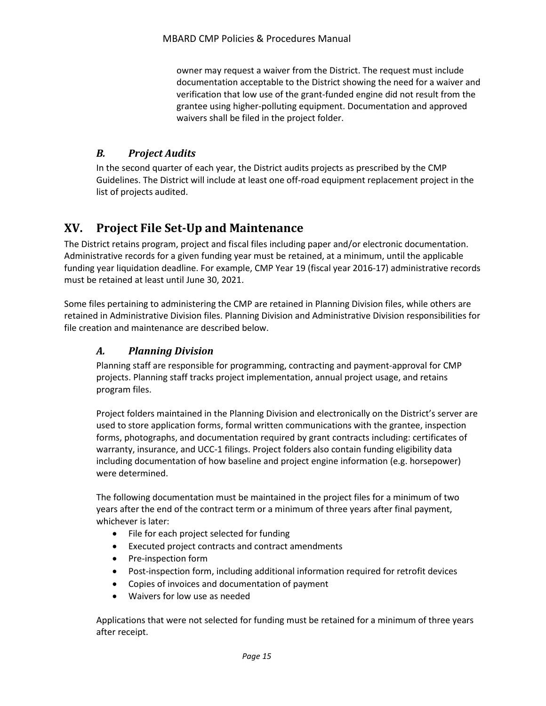owner may request a waiver from the District. The request must include documentation acceptable to the District showing the need for a waiver and verification that low use of the grant-funded engine did not result from the grantee using higher-polluting equipment. Documentation and approved waivers shall be filed in the project folder.

#### <span id="page-17-0"></span>*B. Project Audits*

In the second quarter of each year, the District audits projects as prescribed by the CMP Guidelines. The District will include at least one off-road equipment replacement project in the list of projects audited.

# <span id="page-17-1"></span>**XV. Project File Set-Up and Maintenance**

The District retains program, project and fiscal files including paper and/or electronic documentation. Administrative records for a given funding year must be retained, at a minimum, until the applicable funding year liquidation deadline. For example, CMP Year 19 (fiscal year 2016-17) administrative records must be retained at least until June 30, 2021.

Some files pertaining to administering the CMP are retained in Planning Division files, while others are retained in Administrative Division files. Planning Division and Administrative Division responsibilities for file creation and maintenance are described below.

#### <span id="page-17-2"></span>*A. Planning Division*

Planning staff are responsible for programming, contracting and payment-approval for CMP projects. Planning staff tracks project implementation, annual project usage, and retains program files.

Project folders maintained in the Planning Division and electronically on the District's server are used to store application forms, formal written communications with the grantee, inspection forms, photographs, and documentation required by grant contracts including: certificates of warranty, insurance, and UCC-1 filings. Project folders also contain funding eligibility data including documentation of how baseline and project engine information (e.g. horsepower) were determined.

The following documentation must be maintained in the project files for a minimum of two years after the end of the contract term or a minimum of three years after final payment, whichever is later:

- File for each project selected for funding
- Executed project contracts and contract amendments
- Pre-inspection form
- Post-inspection form, including additional information required for retrofit devices
- Copies of invoices and documentation of payment
- Waivers for low use as needed

Applications that were not selected for funding must be retained for a minimum of three years after receipt.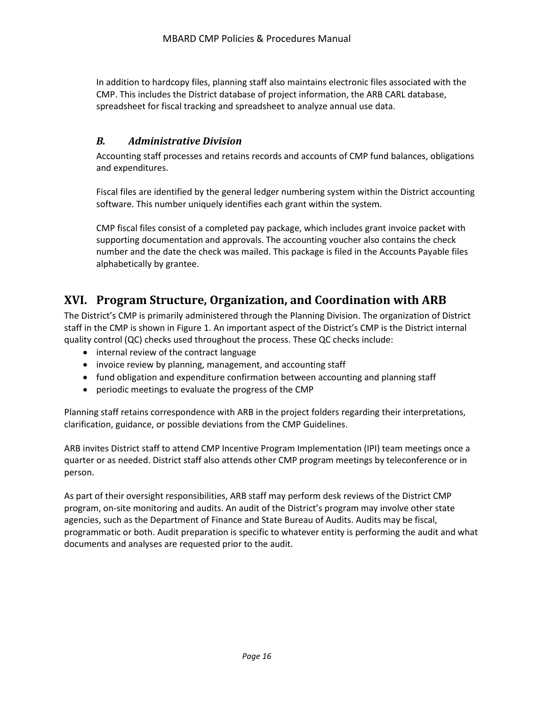In addition to hardcopy files, planning staff also maintains electronic files associated with the CMP. This includes the District database of project information, the ARB CARL database, spreadsheet for fiscal tracking and spreadsheet to analyze annual use data.

#### <span id="page-18-0"></span>*B. Administrative Division*

Accounting staff processes and retains records and accounts of CMP fund balances, obligations and expenditures.

Fiscal files are identified by the general ledger numbering system within the District accounting software. This number uniquely identifies each grant within the system.

CMP fiscal files consist of a completed pay package, which includes grant invoice packet with supporting documentation and approvals. The accounting voucher also contains the check number and the date the check was mailed. This package is filed in the Accounts Payable files alphabetically by grantee.

# <span id="page-18-1"></span>**XVI. Program Structure, Organization, and Coordination with ARB**

The District's CMP is primarily administered through the Planning Division. The organization of District staff in the CMP is shown in Figure 1. An important aspect of the District's CMP is the District internal quality control (QC) checks used throughout the process. These QC checks include:

- internal review of the contract language
- invoice review by planning, management, and accounting staff
- fund obligation and expenditure confirmation between accounting and planning staff
- periodic meetings to evaluate the progress of the CMP

Planning staff retains correspondence with ARB in the project folders regarding their interpretations, clarification, guidance, or possible deviations from the CMP Guidelines.

ARB invites District staff to attend CMP Incentive Program Implementation (IPI) team meetings once a quarter or as needed. District staff also attends other CMP program meetings by teleconference or in person.

As part of their oversight responsibilities, ARB staff may perform desk reviews of the District CMP program, on-site monitoring and audits. An audit of the District's program may involve other state agencies, such as the Department of Finance and State Bureau of Audits. Audits may be fiscal, programmatic or both. Audit preparation is specific to whatever entity is performing the audit and what documents and analyses are requested prior to the audit.